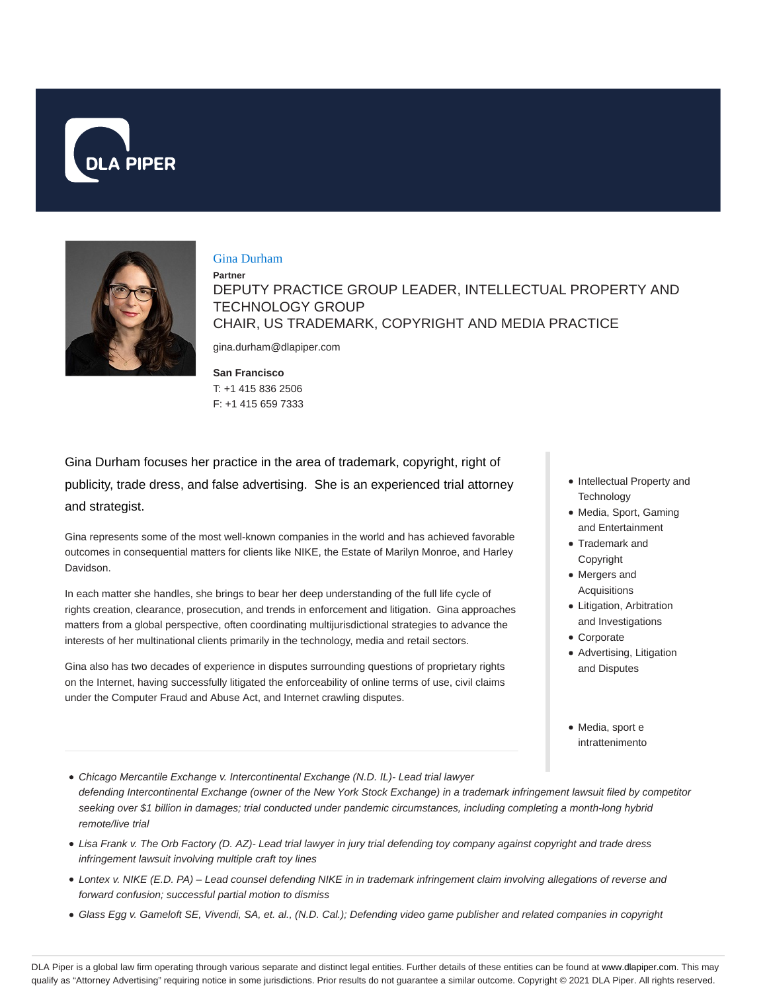



#### Gina Durham

**Partner** DEPUTY PRACTICE GROUP LEADER, INTELLECTUAL PROPERTY AND TECHNOLOGY GROUP CHAIR, US TRADEMARK, COPYRIGHT AND MEDIA PRACTICE gina.durham@dlapiper.com

**San Francisco**

T: +1 415 836 2506 F: +1 415 659 7333

Gina Durham focuses her practice in the area of trademark, copyright, right of publicity, trade dress, and false advertising. She is an experienced trial attorney and strategist.

Gina represents some of the most well-known companies in the world and has achieved favorable outcomes in consequential matters for clients like NIKE, the Estate of Marilyn Monroe, and Harley Davidson.

In each matter she handles, she brings to bear her deep understanding of the full life cycle of rights creation, clearance, prosecution, and trends in enforcement and litigation. Gina approaches matters from a global perspective, often coordinating multijurisdictional strategies to advance the interests of her multinational clients primarily in the technology, media and retail sectors.

Gina also has two decades of experience in disputes surrounding questions of proprietary rights on the Internet, having successfully litigated the enforceability of online terms of use, civil claims under the Computer Fraud and Abuse Act, and Internet crawling disputes.

- Intellectual Property and **Technology**
- Media, Sport, Gaming and Entertainment
- Trademark and Copyright
- Mergers and Acquisitions
- Litigation, Arbitration and Investigations
- Corporate
- Advertising, Litigation and Disputes
- Media, sport e intrattenimento
- Chicago Mercantile Exchange v. Intercontinental Exchange (N.D. IL)- Lead trial lawyer defending Intercontinental Exchange (owner of the New York Stock Exchange) in a trademark infringement lawsuit filed by competitor seeking over \$1 billion in damages; trial conducted under pandemic circumstances, including completing a month-long hybrid remote/live trial
- Lisa Frank v. The Orb Factory (D. AZ)- Lead trial lawyer in jury trial defending toy company against copyright and trade dress infringement lawsuit involving multiple craft toy lines
- Lontex v. NIKE (E.D. PA) Lead counsel defending NIKE in in trademark infringement claim involving allegations of reverse and forward confusion; successful partial motion to dismiss
- Glass Egg v. Gameloft SE, Vivendi, SA, et. al., (N.D. Cal.); Defending video game publisher and related companies in copyright

DLA Piper is a global law firm operating through various separate and distinct legal entities. Further details of these entities can be found at www.dlapiper.com. This may qualify as "Attorney Advertising" requiring notice in some jurisdictions. Prior results do not guarantee a similar outcome. Copyright © 2021 DLA Piper. All rights reserved.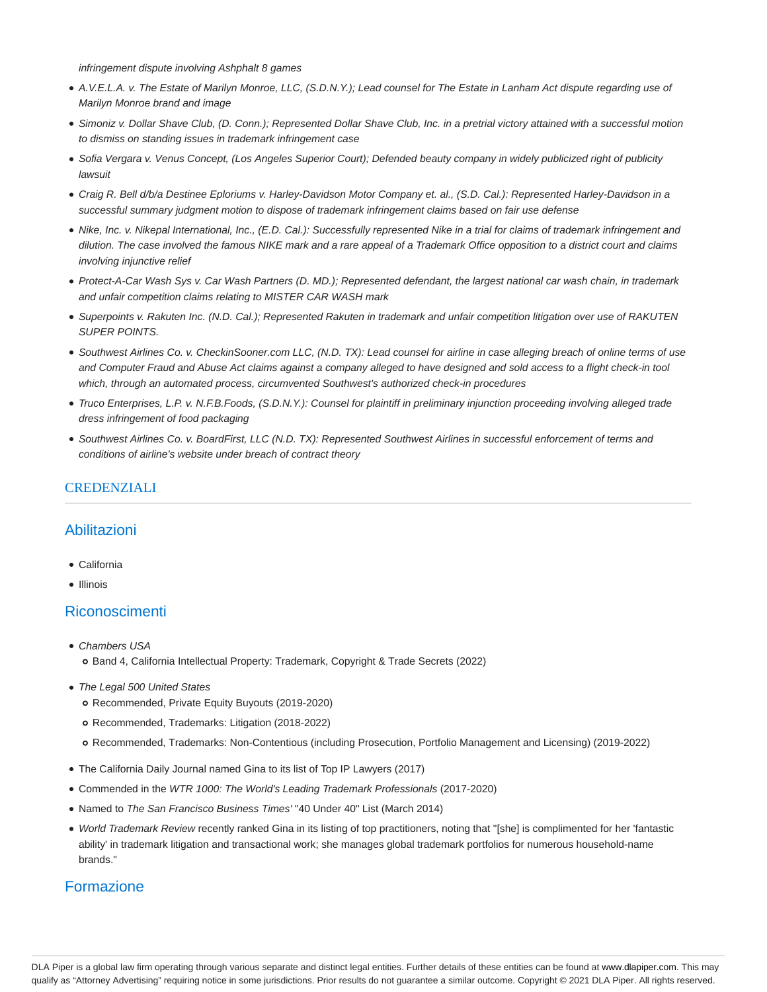infringement dispute involving Ashphalt 8 games

- A.V.E.L.A. v. The Estate of Marilyn Monroe, LLC, (S.D.N.Y.); Lead counsel for The Estate in Lanham Act dispute regarding use of Marilyn Monroe brand and image
- Simoniz v. Dollar Shave Club, (D. Conn.); Represented Dollar Shave Club, Inc. in a pretrial victory attained with a successful motion to dismiss on standing issues in trademark infringement case
- · Sofia Vergara v. Venus Concept, (Los Angeles Superior Court); Defended beauty company in widely publicized right of publicity lawsuit
- Craig R. Bell d/b/a Destinee Eploriums v. Harley-Davidson Motor Company et. al., (S.D. Cal.): Represented Harley-Davidson in a successful summary judgment motion to dispose of trademark infringement claims based on fair use defense
- Nike, Inc. v. Nikepal International, Inc., (E.D. Cal.): Successfully represented Nike in a trial for claims of trademark infringement and dilution. The case involved the famous NIKE mark and a rare appeal of a Trademark Office opposition to a district court and claims involving injunctive relief
- Protect-A-Car Wash Sys v. Car Wash Partners (D. MD.); Represented defendant, the largest national car wash chain, in trademark and unfair competition claims relating to MISTER CAR WASH mark
- Superpoints v. Rakuten Inc. (N.D. Cal.); Represented Rakuten in trademark and unfair competition litigation over use of RAKUTEN SUPER POINTS.
- Southwest Airlines Co. v. CheckinSooner.com LLC, (N.D. TX): Lead counsel for airline in case alleging breach of online terms of use and Computer Fraud and Abuse Act claims against a company alleged to have designed and sold access to a flight check-in tool which, through an automated process, circumvented Southwest's authorized check-in procedures
- Truco Enterprises, L.P. v. N.F.B.Foods, (S.D.N.Y.): Counsel for plaintiff in preliminary injunction proceeding involving alleged trade dress infringement of food packaging
- Southwest Airlines Co. v. BoardFirst, LLC (N.D. TX): Represented Southwest Airlines in successful enforcement of terms and conditions of airline's website under breach of contract theory

#### **CREDENZIALI**

## Abilitazioni

- California
- Illinois

## Riconoscimenti

- Chambers USA o Band 4, California Intellectual Property: Trademark, Copyright & Trade Secrets (2022)
- The Legal 500 United States
	- Recommended, Private Equity Buyouts (2019-2020)
	- Recommended, Trademarks: Litigation (2018-2022)
	- Recommended, Trademarks: Non-Contentious (including Prosecution, Portfolio Management and Licensing) (2019-2022)
- The California Daily Journal named Gina to its list of Top IP Lawyers (2017)
- Commended in the WTR 1000: The World's Leading Trademark Professionals (2017-2020)
- Named to The San Francisco Business Times' "40 Under 40" List (March 2014)
- World Trademark Review recently ranked Gina in its listing of top practitioners, noting that "[she] is complimented for her 'fantastic ability' in trademark litigation and transactional work; she manages global trademark portfolios for numerous household-name brands."

## Formazione